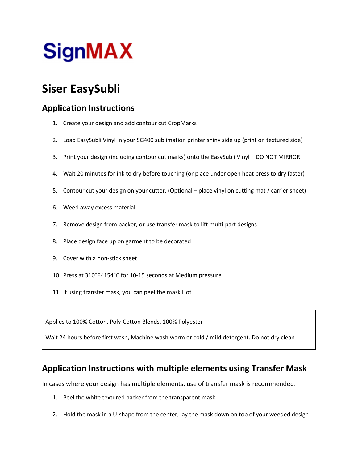## Siser EasySubli

## Application Instructions

- 1. Create your design and add contour cut CropMarks
- 2. Load EasySubli Vinyl in your SG400 sublimation printer shiny side up (print on textured side)
- 3. Print your design (including contour cut marks) onto the EasySubli Vinyl DO NOT MIRROR
- 4. Wait 20 minutes for ink to dry before touching (or place under open heat press to dry faster)
- 5. Contour cut your design on your cutter. (Optional place vinyl on cutting mat / carrier sheet)
- 6. Weed away excess material.
- 7. Remove design from backer, or use transfer mask to lift multi-part designs
- 8. Place design face up on garment to be decorated
- 9. Cover with a non-stick sheet
- 10. Press at 310°F/154°C for 10-15 seconds at Medium pressure
- 11. If using transfer mask, you can peel the mask Hot

Applies to 100% Cotton, Poly-Cotton Blends, 100% Polyester

Wait 24 hours before first wash, Machine wash warm or cold / mild detergent. Do not dry clean

## Application Instructions with multiple elements using Transfer Mask

In cases where your design has multiple elements, use of transfer mask is recommended.

- 1. Peel the white textured backer from the transparent mask
- 2. Hold the mask in a U-shape from the center, lay the mask down on top of your weeded design